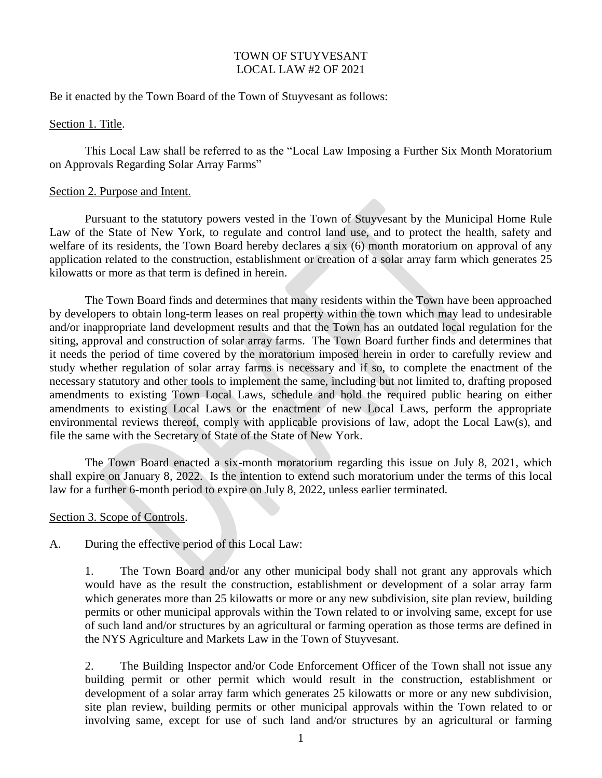### TOWN OF STUYVESANT LOCAL LAW #2 OF 2021

Be it enacted by the Town Board of the Town of Stuyvesant as follows:

#### Section 1. Title.

This Local Law shall be referred to as the "Local Law Imposing a Further Six Month Moratorium on Approvals Regarding Solar Array Farms"

### Section 2. Purpose and Intent.

Pursuant to the statutory powers vested in the Town of Stuyvesant by the Municipal Home Rule Law of the State of New York, to regulate and control land use, and to protect the health, safety and welfare of its residents, the Town Board hereby declares a six (6) month moratorium on approval of any application related to the construction, establishment or creation of a solar array farm which generates 25 kilowatts or more as that term is defined in herein.

The Town Board finds and determines that many residents within the Town have been approached by developers to obtain long-term leases on real property within the town which may lead to undesirable and/or inappropriate land development results and that the Town has an outdated local regulation for the siting, approval and construction of solar array farms. The Town Board further finds and determines that it needs the period of time covered by the moratorium imposed herein in order to carefully review and study whether regulation of solar array farms is necessary and if so, to complete the enactment of the necessary statutory and other tools to implement the same, including but not limited to, drafting proposed amendments to existing Town Local Laws, schedule and hold the required public hearing on either amendments to existing Local Laws or the enactment of new Local Laws, perform the appropriate environmental reviews thereof, comply with applicable provisions of law, adopt the Local Law(s), and file the same with the Secretary of State of the State of New York.

The Town Board enacted a six-month moratorium regarding this issue on July 8, 2021, which shall expire on January 8, 2022. Is the intention to extend such moratorium under the terms of this local law for a further 6-month period to expire on July 8, 2022, unless earlier terminated.

### Section 3. Scope of Controls.

A. During the effective period of this Local Law:

1. The Town Board and/or any other municipal body shall not grant any approvals which would have as the result the construction, establishment or development of a solar array farm which generates more than 25 kilowatts or more or any new subdivision, site plan review, building permits or other municipal approvals within the Town related to or involving same, except for use of such land and/or structures by an agricultural or farming operation as those terms are defined in the NYS Agriculture and Markets Law in the Town of Stuyvesant.

2. The Building Inspector and/or Code Enforcement Officer of the Town shall not issue any building permit or other permit which would result in the construction, establishment or development of a solar array farm which generates 25 kilowatts or more or any new subdivision, site plan review, building permits or other municipal approvals within the Town related to or involving same, except for use of such land and/or structures by an agricultural or farming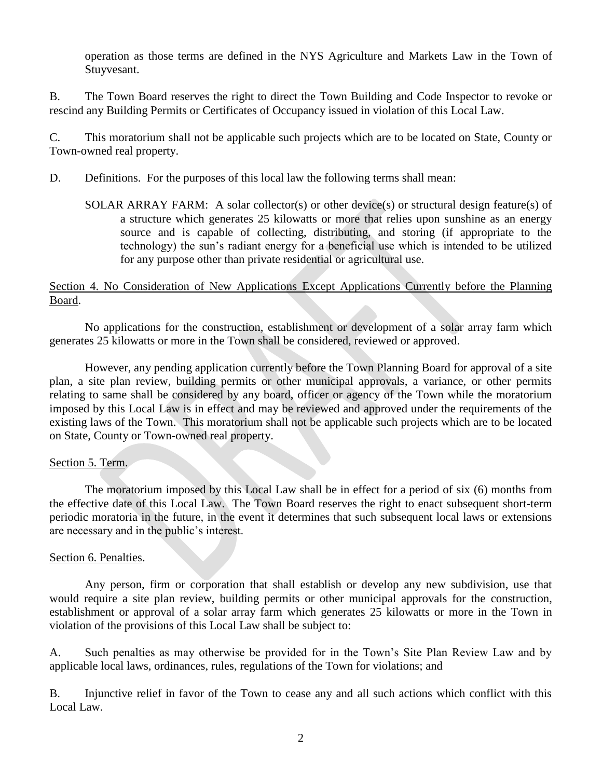operation as those terms are defined in the NYS Agriculture and Markets Law in the Town of Stuyvesant.

B. The Town Board reserves the right to direct the Town Building and Code Inspector to revoke or rescind any Building Permits or Certificates of Occupancy issued in violation of this Local Law.

C. This moratorium shall not be applicable such projects which are to be located on State, County or Town-owned real property.

- D. Definitions. For the purposes of this local law the following terms shall mean:
	- SOLAR ARRAY FARM: A solar collector(s) or other device(s) or structural design feature(s) of a structure which generates 25 kilowatts or more that relies upon sunshine as an energy source and is capable of collecting, distributing, and storing (if appropriate to the technology) the sun's radiant energy for a beneficial use which is intended to be utilized for any purpose other than private residential or agricultural use.

### Section 4. No Consideration of New Applications Except Applications Currently before the Planning Board.

No applications for the construction, establishment or development of a solar array farm which generates 25 kilowatts or more in the Town shall be considered, reviewed or approved.

However, any pending application currently before the Town Planning Board for approval of a site plan, a site plan review, building permits or other municipal approvals, a variance, or other permits relating to same shall be considered by any board, officer or agency of the Town while the moratorium imposed by this Local Law is in effect and may be reviewed and approved under the requirements of the existing laws of the Town. This moratorium shall not be applicable such projects which are to be located on State, County or Town-owned real property.

# Section 5. Term.

The moratorium imposed by this Local Law shall be in effect for a period of six (6) months from the effective date of this Local Law. The Town Board reserves the right to enact subsequent short-term periodic moratoria in the future, in the event it determines that such subsequent local laws or extensions are necessary and in the public's interest.

# Section 6. Penalties.

Any person, firm or corporation that shall establish or develop any new subdivision, use that would require a site plan review, building permits or other municipal approvals for the construction, establishment or approval of a solar array farm which generates 25 kilowatts or more in the Town in violation of the provisions of this Local Law shall be subject to:

A. Such penalties as may otherwise be provided for in the Town's Site Plan Review Law and by applicable local laws, ordinances, rules, regulations of the Town for violations; and

B. Injunctive relief in favor of the Town to cease any and all such actions which conflict with this Local Law.